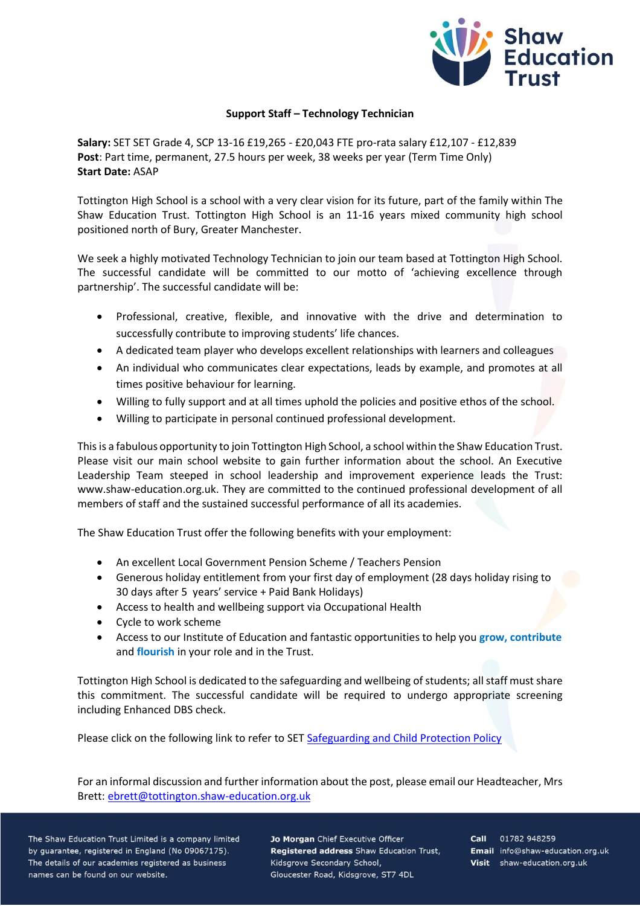

## **Support Staff – Technology Technician**

**Salary:** SET SET Grade 4, SCP 13-16 £19,265 - £20,043 FTE pro-rata salary £12,107 - £12,839 **Post**: Part time, permanent, 27.5 hours per week, 38 weeks per year (Term Time Only) **Start Date:** ASAP

Tottington High School is a school with a very clear vision for its future, part of the family within The Shaw Education Trust. Tottington High School is an 11-16 years mixed community high school positioned north of Bury, Greater Manchester.

We seek a highly motivated Technology Technician to join our team based at Tottington High School. The successful candidate will be committed to our motto of 'achieving excellence through partnership'. The successful candidate will be:

- Professional, creative, flexible, and innovative with the drive and determination to successfully contribute to improving students' life chances.
- A dedicated team player who develops excellent relationships with learners and colleagues
- An individual who communicates clear expectations, leads by example, and promotes at all times positive behaviour for learning.
- Willing to fully support and at all times uphold the policies and positive ethos of the school.
- Willing to participate in personal continued professional development.

This is a fabulous opportunity to join Tottington High School, a school within the Shaw Education Trust. Please visit our main school website to gain further information about the school. An Executive Leadership Team steeped in school leadership and improvement experience leads the Trust: www.shaw-education.org.uk. They are committed to the continued professional development of all members of staff and the sustained successful performance of all its academies.

The Shaw Education Trust offer the following benefits with your employment:

- An excellent Local Government Pension Scheme / Teachers Pension
- Generous holiday entitlement from your first day of employment (28 days holiday rising to 30 days after 5 years' service + Paid Bank Holidays)
- Access to health and wellbeing support via Occupational Health
- Cycle to work scheme
- Access to our Institute of Education and fantastic opportunities to help you **grow, contribute** and **flourish** in your role and in the Trust.

Tottington High School is dedicated to the safeguarding and wellbeing of students; all staff must share this commitment. The successful candidate will be required to undergo appropriate screening including Enhanced DBS check.

Please click on the following link to refer to SET [Safeguarding and Child Protection Policy](https://www.shaw-education.org.uk/uploads/New%20SET%20documents/Central%20Policies/Safeguarding%20and%20Pupil%20Protection%20Policy%202021-22.pdf)

For an informal discussion and further information about the post, please email our Headteacher, Mrs Brett: [ebrett@tottington.shaw-education.org.uk](mailto:ebrett@tottington.shaw-education.org.uk)

The Shaw Education Trust Limited is a company limited by guarantee, registered in England (No 09067175). The details of our academies registered as business names can be found on our website.

Jo Morgan Chief Executive Officer Registered address Shaw Education Trust, Kidsgrove Secondary School, Gloucester Road, Kidsgrove, ST7 4DL

Call 01782 948259 Email info@shaw-education.org.uk Visit shaw-education.org.uk